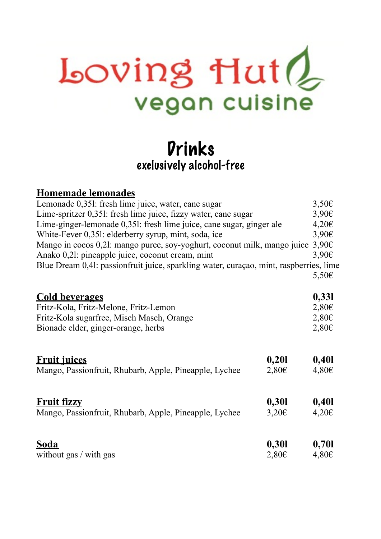## $Loving$  Hut $Q$ vegan cuisine

## Drinks exclusively alcohol-free

| $3,50 \in$                                                                              |
|-----------------------------------------------------------------------------------------|
|                                                                                         |
| $3,90 \in$                                                                              |
| $4,20 \in$                                                                              |
| $3,90 \in$                                                                              |
| $3,90 \in$                                                                              |
| 3,90€                                                                                   |
| Blue Dream 0,41: passion fruit juice, sparkling water, curaçao, mint, raspberries, lime |
| $5,50 \in$                                                                              |
| 0,331                                                                                   |
| $2,80 \in$                                                                              |
| $2,80 \in$                                                                              |
| $2,80 \in$                                                                              |
| 0,401                                                                                   |
| $4,80 \in$                                                                              |
|                                                                                         |
| 0,401                                                                                   |
| $4,20 \in$                                                                              |
| 0,701                                                                                   |
| $4,80 \in$                                                                              |
|                                                                                         |